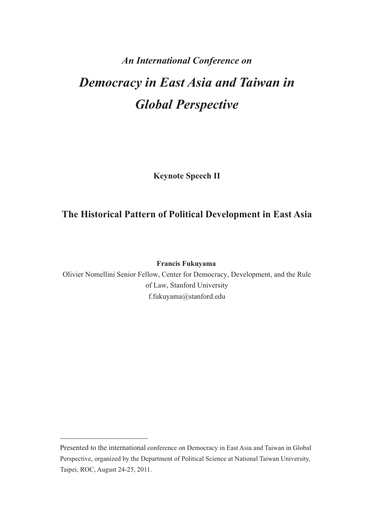# *An International Conference on Democracy in East Asia and Taiwan in Global Perspective*

**Keynote Speech II** 

# **The Historical Pattern of Political Development in East Asia**

**Francis Fukuyama**

Olivier Nomellini Senior Fellow, Center for Democracy, Development, and the Rule of Law, Stanford University f.fukuyama@stanford.edu

Presented to the international conference on Democracy in East Asia and Taiwan in Global Perspective, organized by the Department of Political Science at National Taiwan University, Taipei, ROC, August 24-25, 2011.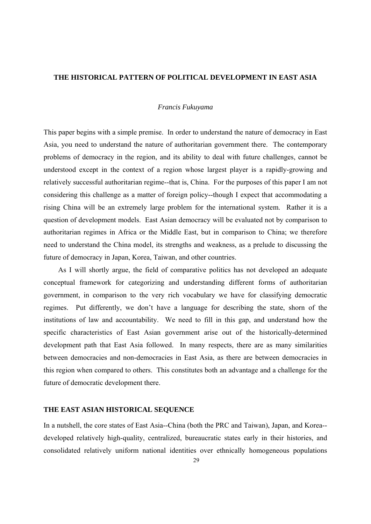# **THE HISTORICAL PATTERN OF POLITICAL DEVELOPMENT IN EAST ASIA**

# *Francis Fukuyama*

This paper begins with a simple premise. In order to understand the nature of democracy in East Asia, you need to understand the nature of authoritarian government there. The contemporary problems of democracy in the region, and its ability to deal with future challenges, cannot be understood except in the context of a region whose largest player is a rapidly-growing and relatively successful authoritarian regime--that is, China. For the purposes of this paper I am not considering this challenge as a matter of foreign policy--though I expect that accommodating a rising China will be an extremely large problem for the international system. Rather it is a question of development models. East Asian democracy will be evaluated not by comparison to authoritarian regimes in Africa or the Middle East, but in comparison to China; we therefore need to understand the China model, its strengths and weakness, as a prelude to discussing the future of democracy in Japan, Korea, Taiwan, and other countries.

As I will shortly argue, the field of comparative politics has not developed an adequate conceptual framework for categorizing and understanding different forms of authoritarian government, in comparison to the very rich vocabulary we have for classifying democratic regimes. Put differently, we don't have a language for describing the state, shorn of the institutions of law and accountability. We need to fill in this gap, and understand how the specific characteristics of East Asian government arise out of the historically-determined development path that East Asia followed. In many respects, there are as many similarities between democracies and non-democracies in East Asia, as there are between democracies in this region when compared to others. This constitutes both an advantage and a challenge for the future of democratic development there.

# **THE EAST ASIAN HISTORICAL SEQUENCE**

In a nutshell, the core states of East Asia--China (both the PRC and Taiwan), Japan, and Korea- developed relatively high-quality, centralized, bureaucratic states early in their histories, and consolidated relatively uniform national identities over ethnically homogeneous populations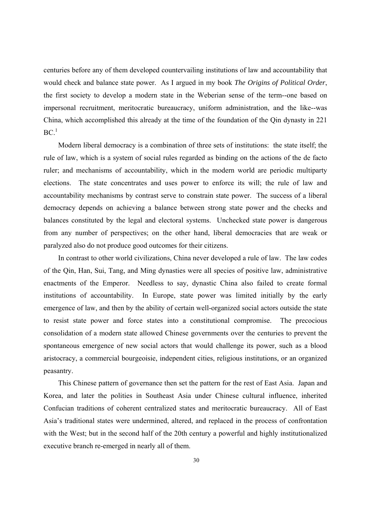centuries before any of them developed countervailing institutions of law and accountability that would check and balance state power. As I argued in my book *The Origins of Political Order*, the first society to develop a modern state in the Weberian sense of the term--one based on impersonal recruitment, meritocratic bureaucracy, uniform administration, and the like--was China, which accomplished this already at the time of the foundation of the Qin dynasty in 221  $BC.$ <sup>1</sup>

Modern liberal democracy is a combination of three sets of institutions: the state itself; the rule of law, which is a system of social rules regarded as binding on the actions of the de facto ruler; and mechanisms of accountability, which in the modern world are periodic multiparty elections. The state concentrates and uses power to enforce its will; the rule of law and accountability mechanisms by contrast serve to constrain state power. The success of a liberal democracy depends on achieving a balance between strong state power and the checks and balances constituted by the legal and electoral systems. Unchecked state power is dangerous from any number of perspectives; on the other hand, liberal democracies that are weak or paralyzed also do not produce good outcomes for their citizens.

In contrast to other world civilizations, China never developed a rule of law. The law codes of the Qin, Han, Sui, Tang, and Ming dynasties were all species of positive law, administrative enactments of the Emperor. Needless to say, dynastic China also failed to create formal institutions of accountability. In Europe, state power was limited initially by the early emergence of law, and then by the ability of certain well-organized social actors outside the state to resist state power and force states into a constitutional compromise. The precocious consolidation of a modern state allowed Chinese governments over the centuries to prevent the spontaneous emergence of new social actors that would challenge its power, such as a blood aristocracy, a commercial bourgeoisie, independent cities, religious institutions, or an organized peasantry.

This Chinese pattern of governance then set the pattern for the rest of East Asia. Japan and Korea, and later the polities in Southeast Asia under Chinese cultural influence, inherited Confucian traditions of coherent centralized states and meritocratic bureaucracy. All of East Asia's traditional states were undermined, altered, and replaced in the process of confrontation with the West; but in the second half of the 20th century a powerful and highly institutionalized executive branch re-emerged in nearly all of them.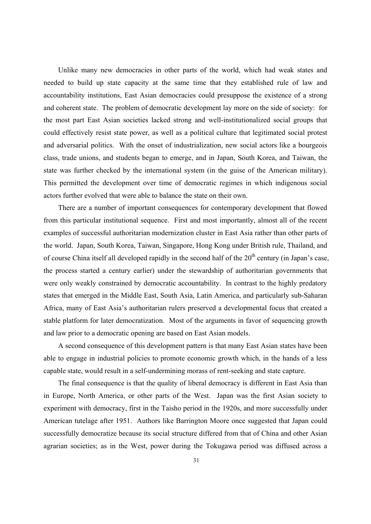Unlike many new democracies in other parts of the world, which had weak states and needed to build up state capacity at the same time that they established rule of law and accountability institutions, East Asian democracies could presuppose the existence of a strong and coherent state. The problem of democratic development lay more on the side of society: for the most part East Asian societies lacked strong and well-institutionalized social groups that could effectively resist state power, as well as a political culture that legitimated social protest and adversarial politics. With the onset of industrialization, new social actors like a bourgeois class, trade unions, and students began to emerge, and in Japan, South Korea, and Taiwan, the state was further checked by the international system (in the guise of the American military). This permitted the development over time of democratic regimes in which indigenous social actors further evolved that were able to balance the state on their own.

There are a number of important consequences for contemporary development that flowed from this particular institutional sequence. First and most importantly, almost all of the recent examples of successful authoritarian modernization cluster in East Asia rather than other parts of the world. Japan, South Korea, Taiwan, Singapore, Hong Kong under British rule, Thailand, and of course China itself all developed rapidly in the second half of the  $20<sup>th</sup>$  century (in Japan's case, the process started a century earlier) under the stewardship of authoritarian governments that were only weakly constrained by democratic accountability. In contrast to the highly predatory states that emerged in the Middle East, South Asia, Latin America, and particularly sub-Saharan Africa, many of East Asia's authoritarian rulers preserved a developmental focus that created a stable platform for later democratization. Most of the arguments in favor of sequencing growth and law prior to a democratic opening are based on East Asian models.

A second consequence of this development pattern is that many East Asian states have been able to engage in industrial policies to promote economic growth which, in the hands of a less capable state, would result in a self-undermining morass of rent-seeking and state capture.

The final consequence is that the quality of liberal democracy is different in East Asia than in Europe, North America, or other parts of the West. Japan was the first Asian society to experiment with democracy, first in the Taisho period in the 1920s, and more successfully under American tutelage after 1951. Authors like Barrington Moore once suggested that Japan could successfully democratize because its social structure differed from that of China and other Asian agrarian societies; as in the West, power during the Tokugawa period was diffused across a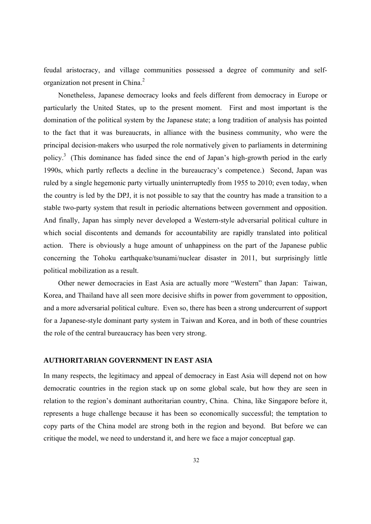feudal aristocracy, and village communities possessed a degree of community and selforganization not present in China.<sup>2</sup>

Nonetheless, Japanese democracy looks and feels different from democracy in Europe or particularly the United States, up to the present moment. First and most important is the domination of the political system by the Japanese state; a long tradition of analysis has pointed to the fact that it was bureaucrats, in alliance with the business community, who were the principal decision-makers who usurped the role normatively given to parliaments in determining policy.<sup>3</sup> (This dominance has faded since the end of Japan's high-growth period in the early 1990s, which partly reflects a decline in the bureaucracy's competence.) Second, Japan was ruled by a single hegemonic party virtually uninterruptedly from 1955 to 2010; even today, when the country is led by the DPJ, it is not possible to say that the country has made a transition to a stable two-party system that result in periodic alternations between government and opposition. And finally, Japan has simply never developed a Western-style adversarial political culture in which social discontents and demands for accountability are rapidly translated into political action. There is obviously a huge amount of unhappiness on the part of the Japanese public concerning the Tohoku earthquake/tsunami/nuclear disaster in 2011, but surprisingly little political mobilization as a result.

Other newer democracies in East Asia are actually more "Western" than Japan: Taiwan, Korea, and Thailand have all seen more decisive shifts in power from government to opposition, and a more adversarial political culture. Even so, there has been a strong undercurrent of support for a Japanese-style dominant party system in Taiwan and Korea, and in both of these countries the role of the central bureaucracy has been very strong.

# **AUTHORITARIAN GOVERNMENT IN EAST ASIA**

In many respects, the legitimacy and appeal of democracy in East Asia will depend not on how democratic countries in the region stack up on some global scale, but how they are seen in relation to the region's dominant authoritarian country, China. China, like Singapore before it, represents a huge challenge because it has been so economically successful; the temptation to copy parts of the China model are strong both in the region and beyond. But before we can critique the model, we need to understand it, and here we face a major conceptual gap.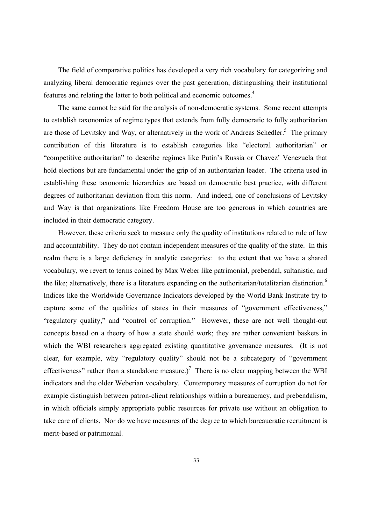The field of comparative politics has developed a very rich vocabulary for categorizing and analyzing liberal democratic regimes over the past generation, distinguishing their institutional features and relating the latter to both political and economic outcomes.4

The same cannot be said for the analysis of non-democratic systems. Some recent attempts to establish taxonomies of regime types that extends from fully democratic to fully authoritarian are those of Levitsky and Way, or alternatively in the work of Andreas Schedler.<sup>5</sup> The primary contribution of this literature is to establish categories like "electoral authoritarian" or "competitive authoritarian" to describe regimes like Putin's Russia or Chavez' Venezuela that hold elections but are fundamental under the grip of an authoritarian leader. The criteria used in establishing these taxonomic hierarchies are based on democratic best practice, with different degrees of authoritarian deviation from this norm. And indeed, one of conclusions of Levitsky and Way is that organizations like Freedom House are too generous in which countries are included in their democratic category.

However, these criteria seek to measure only the quality of institutions related to rule of law and accountability. They do not contain independent measures of the quality of the state. In this realm there is a large deficiency in analytic categories: to the extent that we have a shared vocabulary, we revert to terms coined by Max Weber like patrimonial, prebendal, sultanistic, and the like; alternatively, there is a literature expanding on the authoritarian/totalitarian distinction.<sup>6</sup> Indices like the Worldwide Governance Indicators developed by the World Bank Institute try to capture some of the qualities of states in their measures of "government effectiveness," "regulatory quality," and "control of corruption." However, these are not well thought-out concepts based on a theory of how a state should work; they are rather convenient baskets in which the WBI researchers aggregated existing quantitative governance measures. (It is not clear, for example, why "regulatory quality" should not be a subcategory of "government effectiveness" rather than a standalone measure.)<sup>7</sup> There is no clear mapping between the WBI indicators and the older Weberian vocabulary. Contemporary measures of corruption do not for example distinguish between patron-client relationships within a bureaucracy, and prebendalism, in which officials simply appropriate public resources for private use without an obligation to take care of clients. Nor do we have measures of the degree to which bureaucratic recruitment is merit-based or patrimonial.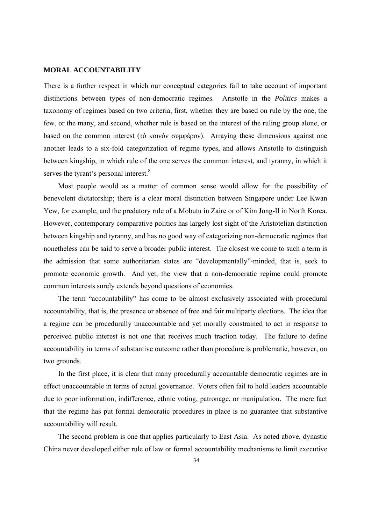#### **MORAL ACCOUNTABILITY**

There is a further respect in which our conceptual categories fail to take account of important distinctions between types of non-democratic regimes. Aristotle in the *Politics* makes a taxonomy of regimes based on two criteria, first, whether they are based on rule by the one, the few, or the many, and second, whether rule is based on the interest of the ruling group alone, or based on the common interest (τό κοινόν συμφέρον). Arraying these dimensions against one another leads to a six-fold categorization of regime types, and allows Aristotle to distinguish between kingship, in which rule of the one serves the common interest, and tyranny, in which it serves the tyrant's personal interest. $8$ 

Most people would as a matter of common sense would allow for the possibility of benevolent dictatorship; there is a clear moral distinction between Singapore under Lee Kwan Yew, for example, and the predatory rule of a Mobutu in Zaire or of Kim Jong-Il in North Korea. However, contemporary comparative politics has largely lost sight of the Aristotelian distinction between kingship and tyranny, and has no good way of categorizing non-democratic regimes that nonetheless can be said to serve a broader public interest. The closest we come to such a term is the admission that some authoritarian states are "developmentally"-minded, that is, seek to promote economic growth. And yet, the view that a non-democratic regime could promote common interests surely extends beyond questions of economics.

The term "accountability" has come to be almost exclusively associated with procedural accountability, that is, the presence or absence of free and fair multiparty elections. The idea that a regime can be procedurally unaccountable and yet morally constrained to act in response to perceived public interest is not one that receives much traction today. The failure to define accountability in terms of substantive outcome rather than procedure is problematic, however, on two grounds.

In the first place, it is clear that many procedurally accountable democratic regimes are in effect unaccountable in terms of actual governance. Voters often fail to hold leaders accountable due to poor information, indifference, ethnic voting, patronage, or manipulation. The mere fact that the regime has put formal democratic procedures in place is no guarantee that substantive accountability will result.

The second problem is one that applies particularly to East Asia. As noted above, dynastic China never developed either rule of law or formal accountability mechanisms to limit executive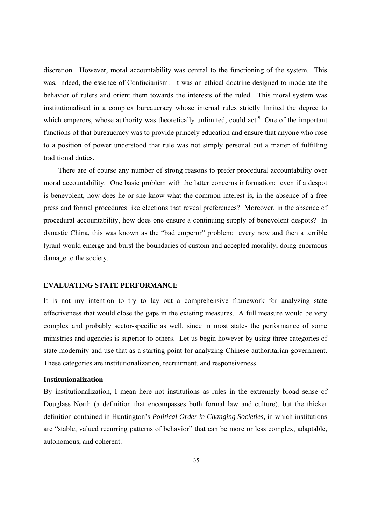discretion. However, moral accountability was central to the functioning of the system. This was, indeed, the essence of Confucianism: it was an ethical doctrine designed to moderate the behavior of rulers and orient them towards the interests of the ruled. This moral system was institutionalized in a complex bureaucracy whose internal rules strictly limited the degree to which emperors, whose authority was theoretically unlimited, could act.<sup>9</sup> One of the important functions of that bureaucracy was to provide princely education and ensure that anyone who rose to a position of power understood that rule was not simply personal but a matter of fulfilling traditional duties.

There are of course any number of strong reasons to prefer procedural accountability over moral accountability. One basic problem with the latter concerns information: even if a despot is benevolent, how does he or she know what the common interest is, in the absence of a free press and formal procedures like elections that reveal preferences? Moreover, in the absence of procedural accountability, how does one ensure a continuing supply of benevolent despots? In dynastic China, this was known as the "bad emperor" problem: every now and then a terrible tyrant would emerge and burst the boundaries of custom and accepted morality, doing enormous damage to the society.

#### **EVALUATING STATE PERFORMANCE**

It is not my intention to try to lay out a comprehensive framework for analyzing state effectiveness that would close the gaps in the existing measures. A full measure would be very complex and probably sector-specific as well, since in most states the performance of some ministries and agencies is superior to others. Let us begin however by using three categories of state modernity and use that as a starting point for analyzing Chinese authoritarian government. These categories are institutionalization, recruitment, and responsiveness.

### **Institutionalization**

By institutionalization, I mean here not institutions as rules in the extremely broad sense of Douglass North (a definition that encompasses both formal law and culture), but the thicker definition contained in Huntington's *Political Order in Changing Societies,* in which institutions are "stable, valued recurring patterns of behavior" that can be more or less complex, adaptable, autonomous, and coherent.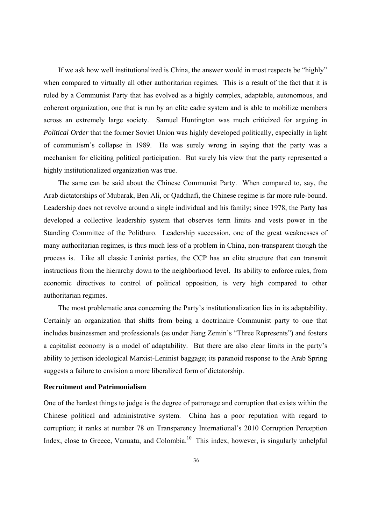If we ask how well institutionalized is China, the answer would in most respects be "highly" when compared to virtually all other authoritarian regimes. This is a result of the fact that it is ruled by a Communist Party that has evolved as a highly complex, adaptable, autonomous, and coherent organization, one that is run by an elite cadre system and is able to mobilize members across an extremely large society. Samuel Huntington was much criticized for arguing in *Political Order* that the former Soviet Union was highly developed politically, especially in light of communism's collapse in 1989. He was surely wrong in saying that the party was a mechanism for eliciting political participation. But surely his view that the party represented a highly institutionalized organization was true.

The same can be said about the Chinese Communist Party. When compared to, say, the Arab dictatorships of Mubarak, Ben Ali, or Qaddhafi, the Chinese regime is far more rule-bound. Leadership does not revolve around a single individual and his family; since 1978, the Party has developed a collective leadership system that observes term limits and vests power in the Standing Committee of the Politburo. Leadership succession, one of the great weaknesses of many authoritarian regimes, is thus much less of a problem in China, non-transparent though the process is. Like all classic Leninist parties, the CCP has an elite structure that can transmit instructions from the hierarchy down to the neighborhood level. Its ability to enforce rules, from economic directives to control of political opposition, is very high compared to other authoritarian regimes.

The most problematic area concerning the Party's institutionalization lies in its adaptability. Certainly an organization that shifts from being a doctrinaire Communist party to one that includes businessmen and professionals (as under Jiang Zemin's "Three Represents") and fosters a capitalist economy is a model of adaptability. But there are also clear limits in the party's ability to jettison ideological Marxist-Leninist baggage; its paranoid response to the Arab Spring suggests a failure to envision a more liberalized form of dictatorship.

# **Recruitment and Patrimonialism**

One of the hardest things to judge is the degree of patronage and corruption that exists within the Chinese political and administrative system. China has a poor reputation with regard to corruption; it ranks at number 78 on Transparency International's 2010 Corruption Perception Index, close to Greece, Vanuatu, and Colombia.<sup>10</sup> This index, however, is singularly unhelpful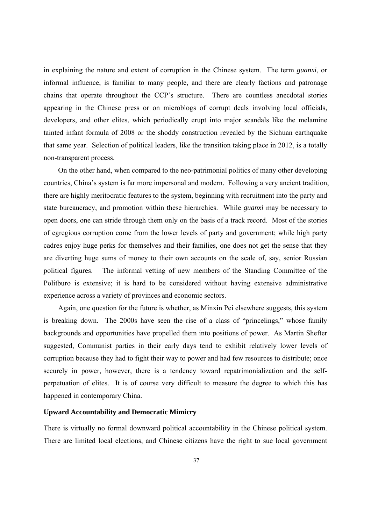in explaining the nature and extent of corruption in the Chinese system. The term *guanxi*, or informal influence, is familiar to many people, and there are clearly factions and patronage chains that operate throughout the CCP's structure. There are countless anecdotal stories appearing in the Chinese press or on microblogs of corrupt deals involving local officials, developers, and other elites, which periodically erupt into major scandals like the melamine tainted infant formula of 2008 or the shoddy construction revealed by the Sichuan earthquake that same year. Selection of political leaders, like the transition taking place in 2012, is a totally non-transparent process.

On the other hand, when compared to the neo-patrimonial politics of many other developing countries, China's system is far more impersonal and modern. Following a very ancient tradition, there are highly meritocratic features to the system, beginning with recruitment into the party and state bureaucracy, and promotion within these hierarchies. While *guanxi* may be necessary to open doors, one can stride through them only on the basis of a track record. Most of the stories of egregious corruption come from the lower levels of party and government; while high party cadres enjoy huge perks for themselves and their families, one does not get the sense that they are diverting huge sums of money to their own accounts on the scale of, say, senior Russian political figures. The informal vetting of new members of the Standing Committee of the Politburo is extensive; it is hard to be considered without having extensive administrative experience across a variety of provinces and economic sectors.

Again, one question for the future is whether, as Minxin Pei elsewhere suggests, this system is breaking down. The 2000s have seen the rise of a class of "princelings," whose family backgrounds and opportunities have propelled them into positions of power. As Martin Shefter suggested, Communist parties in their early days tend to exhibit relatively lower levels of corruption because they had to fight their way to power and had few resources to distribute; once securely in power, however, there is a tendency toward repatrimonialization and the selfperpetuation of elites. It is of course very difficult to measure the degree to which this has happened in contemporary China.

# **Upward Accountability and Democratic Mimicry**

There is virtually no formal downward political accountability in the Chinese political system. There are limited local elections, and Chinese citizens have the right to sue local government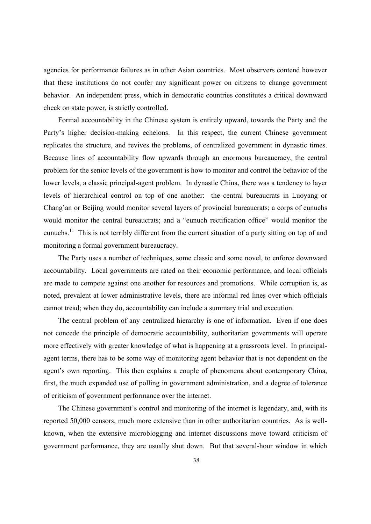agencies for performance failures as in other Asian countries. Most observers contend however that these institutions do not confer any significant power on citizens to change government behavior. An independent press, which in democratic countries constitutes a critical downward check on state power, is strictly controlled.

Formal accountability in the Chinese system is entirely upward, towards the Party and the Party's higher decision-making echelons. In this respect, the current Chinese government replicates the structure, and revives the problems, of centralized government in dynastic times. Because lines of accountability flow upwards through an enormous bureaucracy, the central problem for the senior levels of the government is how to monitor and control the behavior of the lower levels, a classic principal-agent problem. In dynastic China, there was a tendency to layer levels of hierarchical control on top of one another: the central bureaucrats in Luoyang or Chang'an or Beijing would monitor several layers of provincial bureaucrats; a corps of eunuchs would monitor the central bureaucrats; and a "eunuch rectification office" would monitor the eunuchs.<sup>11</sup> This is not terribly different from the current situation of a party sitting on top of and monitoring a formal government bureaucracy.

The Party uses a number of techniques, some classic and some novel, to enforce downward accountability. Local governments are rated on their economic performance, and local officials are made to compete against one another for resources and promotions. While corruption is, as noted, prevalent at lower administrative levels, there are informal red lines over which officials cannot tread; when they do, accountability can include a summary trial and execution.

The central problem of any centralized hierarchy is one of information. Even if one does not concede the principle of democratic accountability, authoritarian governments will operate more effectively with greater knowledge of what is happening at a grassroots level. In principalagent terms, there has to be some way of monitoring agent behavior that is not dependent on the agent's own reporting. This then explains a couple of phenomena about contemporary China, first, the much expanded use of polling in government administration, and a degree of tolerance of criticism of government performance over the internet.

The Chinese government's control and monitoring of the internet is legendary, and, with its reported 50,000 censors, much more extensive than in other authoritarian countries. As is wellknown, when the extensive microblogging and internet discussions move toward criticism of government performance, they are usually shut down. But that several-hour window in which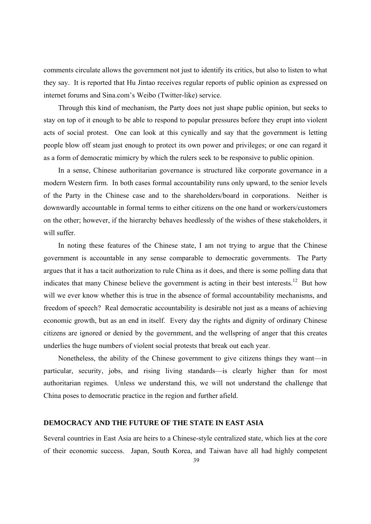comments circulate allows the government not just to identify its critics, but also to listen to what they say. It is reported that Hu Jintao receives regular reports of public opinion as expressed on internet forums and Sina.com's Weibo (Twitter-like) service.

Through this kind of mechanism, the Party does not just shape public opinion, but seeks to stay on top of it enough to be able to respond to popular pressures before they erupt into violent acts of social protest. One can look at this cynically and say that the government is letting people blow off steam just enough to protect its own power and privileges; or one can regard it as a form of democratic mimicry by which the rulers seek to be responsive to public opinion.

In a sense, Chinese authoritarian governance is structured like corporate governance in a modern Western firm. In both cases formal accountability runs only upward, to the senior levels of the Party in the Chinese case and to the shareholders/board in corporations. Neither is downwardly accountable in formal terms to either citizens on the one hand or workers/customers on the other; however, if the hierarchy behaves heedlessly of the wishes of these stakeholders, it will suffer.

In noting these features of the Chinese state, I am not trying to argue that the Chinese government is accountable in any sense comparable to democratic governments. The Party argues that it has a tacit authorization to rule China as it does, and there is some polling data that indicates that many Chinese believe the government is acting in their best interests.<sup>12</sup> But how will we ever know whether this is true in the absence of formal accountability mechanisms, and freedom of speech? Real democratic accountability is desirable not just as a means of achieving economic growth, but as an end in itself. Every day the rights and dignity of ordinary Chinese citizens are ignored or denied by the government, and the wellspring of anger that this creates underlies the huge numbers of violent social protests that break out each year.

Nonetheless, the ability of the Chinese government to give citizens things they want—in particular, security, jobs, and rising living standards—is clearly higher than for most authoritarian regimes. Unless we understand this, we will not understand the challenge that China poses to democratic practice in the region and further afield.

# **DEMOCRACY AND THE FUTURE OF THE STATE IN EAST ASIA**

Several countries in East Asia are heirs to a Chinese-style centralized state, which lies at the core of their economic success. Japan, South Korea, and Taiwan have all had highly competent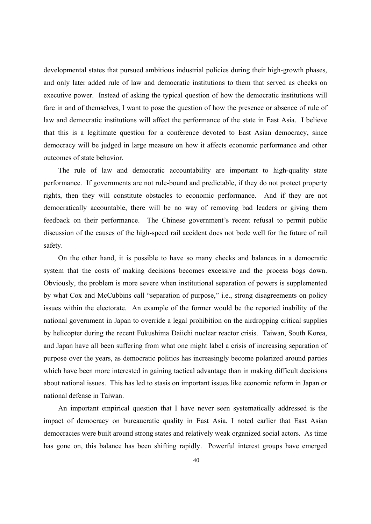developmental states that pursued ambitious industrial policies during their high-growth phases, and only later added rule of law and democratic institutions to them that served as checks on executive power. Instead of asking the typical question of how the democratic institutions will fare in and of themselves, I want to pose the question of how the presence or absence of rule of law and democratic institutions will affect the performance of the state in East Asia. I believe that this is a legitimate question for a conference devoted to East Asian democracy, since democracy will be judged in large measure on how it affects economic performance and other outcomes of state behavior.

The rule of law and democratic accountability are important to high-quality state performance. If governments are not rule-bound and predictable, if they do not protect property rights, then they will constitute obstacles to economic performance. And if they are not democratically accountable, there will be no way of removing bad leaders or giving them feedback on their performance. The Chinese government's recent refusal to permit public discussion of the causes of the high-speed rail accident does not bode well for the future of rail safety.

On the other hand, it is possible to have so many checks and balances in a democratic system that the costs of making decisions becomes excessive and the process bogs down. Obviously, the problem is more severe when institutional separation of powers is supplemented by what Cox and McCubbins call "separation of purpose," i.e., strong disagreements on policy issues within the electorate. An example of the former would be the reported inability of the national government in Japan to override a legal prohibition on the airdropping critical supplies by helicopter during the recent Fukushima Daiichi nuclear reactor crisis. Taiwan, South Korea, and Japan have all been suffering from what one might label a crisis of increasing separation of purpose over the years, as democratic politics has increasingly become polarized around parties which have been more interested in gaining tactical advantage than in making difficult decisions about national issues. This has led to stasis on important issues like economic reform in Japan or national defense in Taiwan.

An important empirical question that I have never seen systematically addressed is the impact of democracy on bureaucratic quality in East Asia. I noted earlier that East Asian democracies were built around strong states and relatively weak organized social actors. As time has gone on, this balance has been shifting rapidly. Powerful interest groups have emerged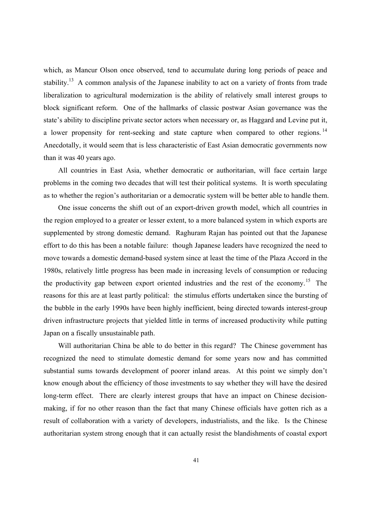which, as Mancur Olson once observed, tend to accumulate during long periods of peace and stability.<sup>13</sup> A common analysis of the Japanese inability to act on a variety of fronts from trade liberalization to agricultural modernization is the ability of relatively small interest groups to block significant reform. One of the hallmarks of classic postwar Asian governance was the state's ability to discipline private sector actors when necessary or, as Haggard and Levine put it, a lower propensity for rent-seeking and state capture when compared to other regions.<sup>14</sup> Anecdotally, it would seem that is less characteristic of East Asian democratic governments now than it was 40 years ago.

All countries in East Asia, whether democratic or authoritarian, will face certain large problems in the coming two decades that will test their political systems. It is worth speculating as to whether the region's authoritarian or a democratic system will be better able to handle them.

One issue concerns the shift out of an export-driven growth model, which all countries in the region employed to a greater or lesser extent, to a more balanced system in which exports are supplemented by strong domestic demand. Raghuram Rajan has pointed out that the Japanese effort to do this has been a notable failure: though Japanese leaders have recognized the need to move towards a domestic demand-based system since at least the time of the Plaza Accord in the 1980s, relatively little progress has been made in increasing levels of consumption or reducing the productivity gap between export oriented industries and the rest of the economy.<sup>15</sup> The reasons for this are at least partly political: the stimulus efforts undertaken since the bursting of the bubble in the early 1990s have been highly inefficient, being directed towards interest-group driven infrastructure projects that yielded little in terms of increased productivity while putting Japan on a fiscally unsustainable path.

Will authoritarian China be able to do better in this regard? The Chinese government has recognized the need to stimulate domestic demand for some years now and has committed substantial sums towards development of poorer inland areas. At this point we simply don't know enough about the efficiency of those investments to say whether they will have the desired long-term effect. There are clearly interest groups that have an impact on Chinese decisionmaking, if for no other reason than the fact that many Chinese officials have gotten rich as a result of collaboration with a variety of developers, industrialists, and the like. Is the Chinese authoritarian system strong enough that it can actually resist the blandishments of coastal export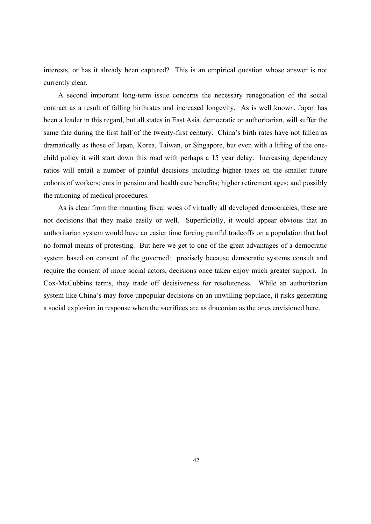interests, or has it already been captured? This is an empirical question whose answer is not currently clear.

A second important long-term issue concerns the necessary renegotiation of the social contract as a result of falling birthrates and increased longevity. As is well known, Japan has been a leader in this regard, but all states in East Asia, democratic or authoritarian, will suffer the same fate during the first half of the twenty-first century. China's birth rates have not fallen as dramatically as those of Japan, Korea, Taiwan, or Singapore, but even with a lifting of the onechild policy it will start down this road with perhaps a 15 year delay. Increasing dependency ratios will entail a number of painful decisions including higher taxes on the smaller future cohorts of workers; cuts in pension and health care benefits; higher retirement ages; and possibly the rationing of medical procedures.

As is clear from the mounting fiscal woes of virtually all developed democracies, these are not decisions that they make easily or well. Superficially, it would appear obvious that an authoritarian system would have an easier time forcing painful tradeoffs on a population that had no formal means of protesting. But here we get to one of the great advantages of a democratic system based on consent of the governed: precisely because democratic systems consult and require the consent of more social actors, decisions once taken enjoy much greater support. In Cox-McCubbins terms, they trade off decisiveness for resoluteness. While an authoritarian system like China's may force unpopular decisions on an unwilling populace, it risks generating a social explosion in response when the sacrifices are as draconian as the ones envisioned here.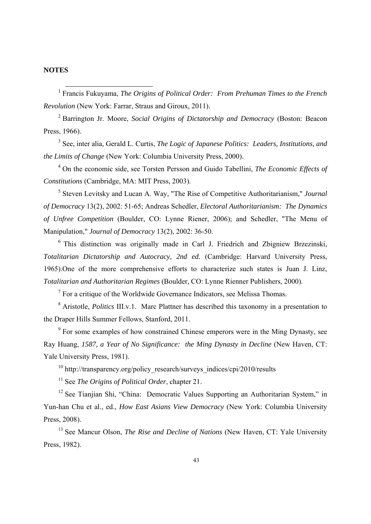# **NOTES**

 <sup>1</sup> Francis Fukuyama, *The Origins of Political Order: From Prehuman Times to the French Revolution* (New York: Farrar, Straus and Giroux, 2011).

2 Barrington Jr. Moore, *Social Origins of Dictatorship and Democracy* (Boston: Beacon Press, 1966).

<sup>3</sup> See, inter alia, Gerald L. Curtis, *The Logic of Japanese Politics: Leaders, Institutions, and the Limits of Change* (New York: Columbia University Press, 2000).

4 On the economic side, see Torsten Persson and Guido Tabellini, *The Economic Effects of Constitutions* (Cambridge, MA: MIT Press, 2003).

5 Steven Levitsky and Lucan A. Way, "The Rise of Competitive Authoritarianism," *Journal of Democracy* 13(2), 2002: 51-65; Andreas Schedler, *Electoral Authoritarianism: The Dynamics of Unfree Competition* (Boulder, CO: Lynne Riener, 2006); and Schedler, "The Menu of Manipulation," *Journal of Democracy* 13(2), 2002: 36-50.

6 This distinction was originally made in Carl J. Friedrich and Zbigniew Brzezinski, *Totalitarian Dictatorship and Autocracy, 2nd ed.* (Cambridge: Harvard University Press, 1965).One of the more comprehensive efforts to characterize such states is Juan J. Linz, *Totalitarian and Authoritarian Regimes* (Boulder, CO: Lynne Rienner Publishers, 2000).

 $7$  For a critique of the Worldwide Governance Indicators, see Melissa Thomas.

<sup>8</sup> Aristotle, *Politics* III.v.1. Marc Plattner has described this taxonomy in a presentation to the Draper Hills Summer Fellows, Stanford, 2011.

<sup>9</sup> For some examples of how constrained Chinese emperors were in the Ming Dynasty, see Ray Huang, *1587, a Year of No Significance: the Ming Dynasty in Decline* (New Haven, CT: Yale University Press, 1981).

<sup>10</sup> http://transparency.org/policy\_research/surveys\_indices/cpi/2010/results

11 See *The Origins of Political Order*, chapter 21.

<sup>12</sup> See Tianjian Shi, "China: Democratic Values Supporting an Authoritarian System," in Yun-han Chu et al., ed., *How East Asians View Democracy* (New York: Columbia University Press, 2008).

<sup>13</sup> See Mancur Olson, *The Rise and Decline of Nations* (New Haven, CT: Yale University Press, 1982).